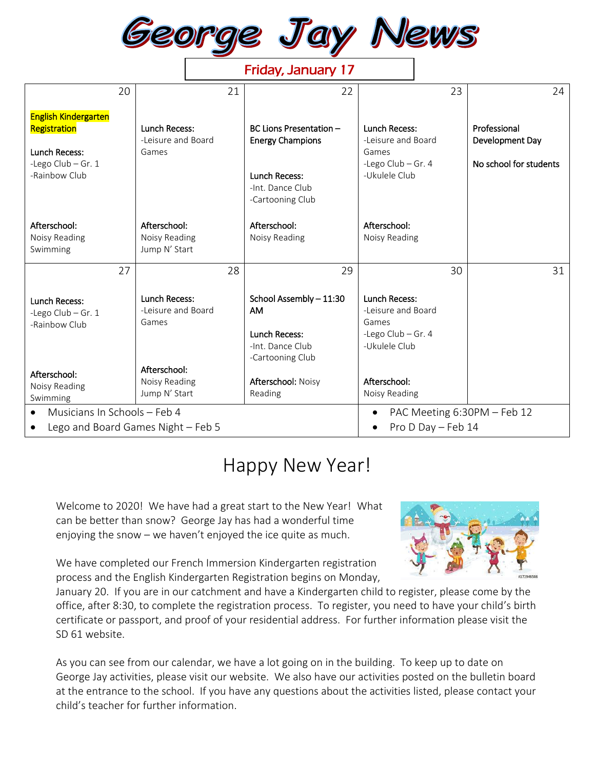

Friday, January 17

| 20                                                                                                    |                                                | 21 | 22                                                                                                          |                                                                                       | 23 | 24                                                        |
|-------------------------------------------------------------------------------------------------------|------------------------------------------------|----|-------------------------------------------------------------------------------------------------------------|---------------------------------------------------------------------------------------|----|-----------------------------------------------------------|
| <b>English Kindergarten</b><br>Registration<br>Lunch Recess:<br>-Lego Club $-$ Gr. 1<br>-Rainbow Club | Lunch Recess:<br>-Leisure and Board<br>Games   |    | BC Lions Presentation -<br><b>Energy Champions</b><br>Lunch Recess:<br>-Int. Dance Club<br>-Cartooning Club | Lunch Recess:<br>-Leisure and Board<br>Games<br>-Lego Club $-$ Gr. 4<br>-Ukulele Club |    | Professional<br>Development Day<br>No school for students |
| Afterschool:<br>Noisy Reading<br>Swimming                                                             | Afterschool:<br>Noisy Reading<br>Jump N' Start |    | Afterschool:<br>Noisy Reading                                                                               | Afterschool:<br>Noisy Reading                                                         |    |                                                           |
| 27                                                                                                    |                                                | 28 | 29                                                                                                          |                                                                                       | 30 | 31                                                        |
| <b>Lunch Recess:</b><br>-Lego Club $-$ Gr. 1<br>-Rainbow Club                                         | Lunch Recess:<br>-Leisure and Board<br>Games   |    | School Assembly - 11:30<br><b>AM</b><br><b>Lunch Recess:</b><br>-Int. Dance Club<br>-Cartooning Club        | Lunch Recess:<br>-Leisure and Board<br>Games<br>-Lego Club $-$ Gr. 4<br>-Ukulele Club |    |                                                           |
| Afterschool:<br>Noisy Reading<br>Swimming                                                             | Afterschool:<br>Noisy Reading<br>Jump N' Start |    | <b>Afterschool: Noisy</b><br>Reading                                                                        | Afterschool:<br>Noisy Reading                                                         |    |                                                           |
| Musicians In Schools - Feb 4<br>$\bullet$<br>Lego and Board Games Night - Feb 5                       |                                                |    |                                                                                                             | PAC Meeting 6:30PM - Feb 12<br>Pro D Day - Feb 14                                     |    |                                                           |

## Happy New Year!

Welcome to 2020! We have had a great start to the New Year! What can be better than snow? George Jay has had a wonderful time enjoying the snow – we haven't enjoyed the ice quite as much.

We have completed our French Immersion Kindergarten registration process and the English Kindergarten Registration begins on Monday,



January 20. If you are in our catchment and have a Kindergarten child to register, please come by the office, after 8:30, to complete the registration process. To register, you need to have your child's birth certificate or passport, and proof of your residential address. For further information please visit the SD 61 website.

As you can see from our calendar, we have a lot going on in the building. To keep up to date on George Jay activities, please visit our website. We also have our activities posted on the bulletin board at the entrance to the school. If you have any questions about the activities listed, please contact your child's teacher for further information.